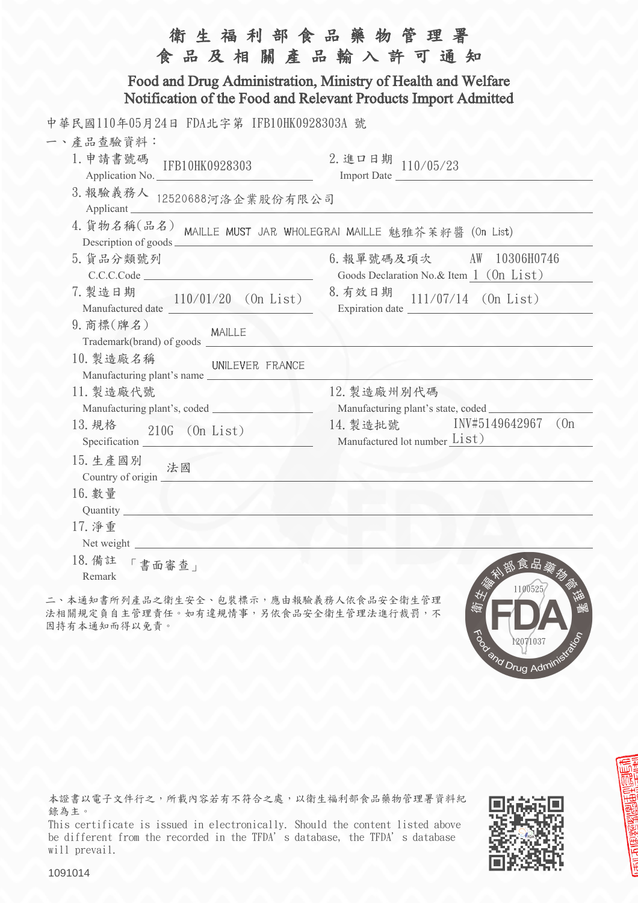| 衛生福利部食品藥物管理署<br>食品及相關產品輸入許可通知                                                                                                  |                                                                     |  |  |  |  |
|--------------------------------------------------------------------------------------------------------------------------------|---------------------------------------------------------------------|--|--|--|--|
| Food and Drug Administration, Ministry of Health and Welfare<br>Notification of the Food and Relevant Products Import Admitted |                                                                     |  |  |  |  |
| 中華民國110年05月24日 FDA北字第 IFB10HK0928303A 號                                                                                        |                                                                     |  |  |  |  |
| 一、產品查驗資料:                                                                                                                      |                                                                     |  |  |  |  |
| 1. 申請書號碼<br>IFB10HK0928303<br>Application No.                                                                                  | 2. 進口日期 110/05/23<br>Import Date                                    |  |  |  |  |
| 3. 報驗義務人 12520688河洛企業股份有限公司<br>Applicant                                                                                       |                                                                     |  |  |  |  |
| 4. 貨物名稱(品名)<br>Description of goods                                                                                            | MAILLE MUST JAR WHOLEGRAI MAILLE 魅雅芥茉籽醬 (On List)                   |  |  |  |  |
| 5. 貨品分類號列<br>C.C.C. Code                                                                                                       | 6. 報單號碼及項次 AW 10306H0746<br>Goods Declaration No.& Item 1 (0n List) |  |  |  |  |
| 7. 製造日期<br>$110/01/20$ (On List)<br>Manufactured date                                                                          | 8. 有效日期<br>$111/07/14$ (On List)<br>Expiration date $\frac{1}{1}$   |  |  |  |  |
| 9. 商標(牌名)<br>MAILLE                                                                                                            |                                                                     |  |  |  |  |
| 10. 製造廠名稱<br>UNILEVER FRANCE<br>Manufacturing plant's name                                                                     |                                                                     |  |  |  |  |
| 11. 製造廠代號                                                                                                                      | 12. 製造廠州別代碼                                                         |  |  |  |  |
|                                                                                                                                | Manufacturing plant's state, coded                                  |  |  |  |  |
| 13. 規格<br>$210G$ (On List)                                                                                                     | 14. 製造批號 INV#5149642967 (On<br>Manufactured lot number List)        |  |  |  |  |
| 15. 生產國別<br>法國<br>Country of origin $\overline{\phantom{a}}$                                                                   |                                                                     |  |  |  |  |
| 16. 數量<br>Quantity                                                                                                             |                                                                     |  |  |  |  |
| 17. 净重                                                                                                                         |                                                                     |  |  |  |  |
| Net weight                                                                                                                     |                                                                     |  |  |  |  |
| 18. 備註<br>「書面審查」<br>Remark<br>二、本通知書所列產品之衛生安全、包裝標示,應由報驗義務人依食品安全衛生管理                                                            | 食品<br>1100525                                                       |  |  |  |  |

法相關規定負自主管理責任。如有違規情事,另依食品安全衛生管理法進行裁罰,不 因持有本通知而得以免責。

本證書以電子文件行之,所載內容若有不符合之處,以衛生福利部食品藥物管理署資料紀 錄為主。

This certificate is issued in electronically. Should the content listed above be different from the recorded in the TFDA's database, the TFDA's database will prevail.



To draw 120 pm